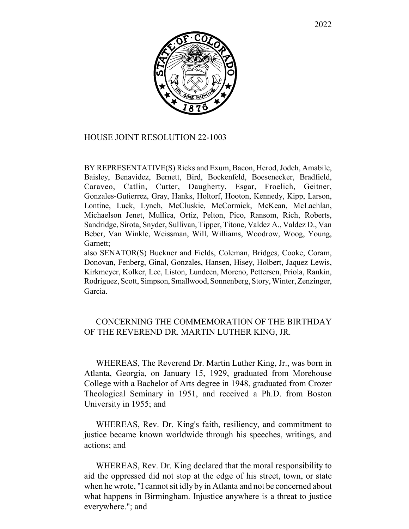

## HOUSE JOINT RESOLUTION 22-1003

BY REPRESENTATIVE(S) Ricks and Exum, Bacon, Herod, Jodeh, Amabile, Baisley, Benavidez, Bernett, Bird, Bockenfeld, Boesenecker, Bradfield, Caraveo, Catlin, Cutter, Daugherty, Esgar, Froelich, Geitner, Gonzales-Gutierrez, Gray, Hanks, Holtorf, Hooton, Kennedy, Kipp, Larson, Lontine, Luck, Lynch, McCluskie, McCormick, McKean, McLachlan, Michaelson Jenet, Mullica, Ortiz, Pelton, Pico, Ransom, Rich, Roberts, Sandridge, Sirota, Snyder, Sullivan, Tipper, Titone, Valdez A., Valdez D., Van Beber, Van Winkle, Weissman, Will, Williams, Woodrow, Woog, Young, Garnett;

also SENATOR(S) Buckner and Fields, Coleman, Bridges, Cooke, Coram, Donovan, Fenberg, Ginal, Gonzales, Hansen, Hisey, Holbert, Jaquez Lewis, Kirkmeyer, Kolker, Lee, Liston, Lundeen, Moreno, Pettersen, Priola, Rankin, Rodriguez, Scott, Simpson, Smallwood, Sonnenberg, Story, Winter, Zenzinger, Garcia.

## CONCERNING THE COMMEMORATION OF THE BIRTHDAY OF THE REVEREND DR. MARTIN LUTHER KING, JR.

WHEREAS, The Reverend Dr. Martin Luther King, Jr., was born in Atlanta, Georgia, on January 15, 1929, graduated from Morehouse College with a Bachelor of Arts degree in 1948, graduated from Crozer Theological Seminary in 1951, and received a Ph.D. from Boston University in 1955; and

WHEREAS, Rev. Dr. King's faith, resiliency, and commitment to justice became known worldwide through his speeches, writings, and actions; and

WHEREAS, Rev. Dr. King declared that the moral responsibility to aid the oppressed did not stop at the edge of his street, town, or state when he wrote, "I cannot sit idly by in Atlanta and not be concerned about what happens in Birmingham. Injustice anywhere is a threat to justice everywhere."; and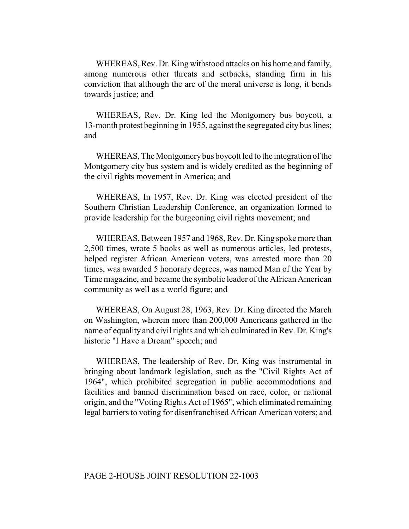WHEREAS, Rev. Dr. King withstood attacks on his home and family, among numerous other threats and setbacks, standing firm in his conviction that although the arc of the moral universe is long, it bends towards justice; and

WHEREAS, Rev. Dr. King led the Montgomery bus boycott, a 13-month protest beginning in 1955, against the segregated city bus lines; and

WHEREAS, The Montgomery bus boycott led to the integration of the Montgomery city bus system and is widely credited as the beginning of the civil rights movement in America; and

WHEREAS, In 1957, Rev. Dr. King was elected president of the Southern Christian Leadership Conference, an organization formed to provide leadership for the burgeoning civil rights movement; and

WHEREAS, Between 1957 and 1968, Rev. Dr. King spoke more than 2,500 times, wrote 5 books as well as numerous articles, led protests, helped register African American voters, was arrested more than 20 times, was awarded 5 honorary degrees, was named Man of the Year by Time magazine, and became the symbolic leader of the African American community as well as a world figure; and

WHEREAS, On August 28, 1963, Rev. Dr. King directed the March on Washington, wherein more than 200,000 Americans gathered in the name of equality and civil rights and which culminated in Rev. Dr. King's historic "I Have a Dream" speech; and

WHEREAS, The leadership of Rev. Dr. King was instrumental in bringing about landmark legislation, such as the "Civil Rights Act of 1964", which prohibited segregation in public accommodations and facilities and banned discrimination based on race, color, or national origin, and the "Voting Rights Act of 1965", which eliminated remaining legal barriers to voting for disenfranchised African American voters; and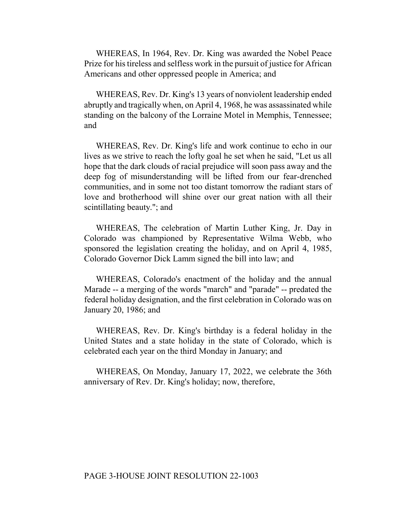WHEREAS, In 1964, Rev. Dr. King was awarded the Nobel Peace Prize for his tireless and selfless work in the pursuit of justice for African Americans and other oppressed people in America; and

WHEREAS, Rev. Dr. King's 13 years of nonviolent leadership ended abruptly and tragically when, on April 4, 1968, he was assassinated while standing on the balcony of the Lorraine Motel in Memphis, Tennessee; and

WHEREAS, Rev. Dr. King's life and work continue to echo in our lives as we strive to reach the lofty goal he set when he said, "Let us all hope that the dark clouds of racial prejudice will soon pass away and the deep fog of misunderstanding will be lifted from our fear-drenched communities, and in some not too distant tomorrow the radiant stars of love and brotherhood will shine over our great nation with all their scintillating beauty."; and

WHEREAS, The celebration of Martin Luther King, Jr. Day in Colorado was championed by Representative Wilma Webb, who sponsored the legislation creating the holiday, and on April 4, 1985, Colorado Governor Dick Lamm signed the bill into law; and

WHEREAS, Colorado's enactment of the holiday and the annual Marade -- a merging of the words "march" and "parade" -- predated the federal holiday designation, and the first celebration in Colorado was on January 20, 1986; and

WHEREAS, Rev. Dr. King's birthday is a federal holiday in the United States and a state holiday in the state of Colorado, which is celebrated each year on the third Monday in January; and

WHEREAS, On Monday, January 17, 2022, we celebrate the 36th anniversary of Rev. Dr. King's holiday; now, therefore,